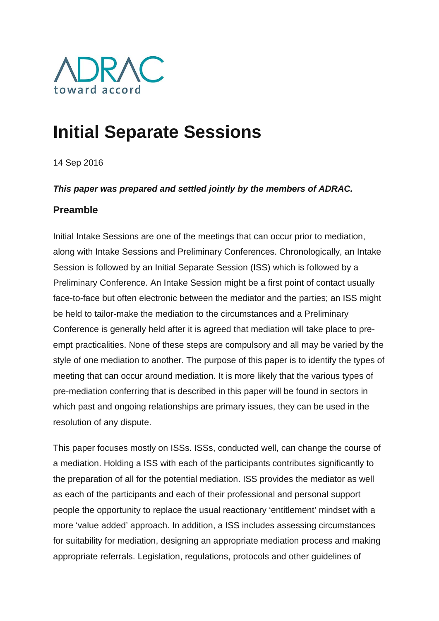

# **Initial Separate Sessions**

14 Sep 2016

#### *This paper was prepared and settled jointly by the members of ADRAC.*

#### **Preamble**

Initial Intake Sessions are one of the meetings that can occur prior to mediation, along with Intake Sessions and Preliminary Conferences. Chronologically, an Intake Session is followed by an Initial Separate Session (ISS) which is followed by a Preliminary Conference. An Intake Session might be a first point of contact usually face-to-face but often electronic between the mediator and the parties; an ISS might be held to tailor-make the mediation to the circumstances and a Preliminary Conference is generally held after it is agreed that mediation will take place to preempt practicalities. None of these steps are compulsory and all may be varied by the style of one mediation to another. The purpose of this paper is to identify the types of meeting that can occur around mediation. It is more likely that the various types of pre-mediation conferring that is described in this paper will be found in sectors in which past and ongoing relationships are primary issues, they can be used in the resolution of any dispute.

This paper focuses mostly on ISSs. ISSs, conducted well, can change the course of a mediation. Holding a ISS with each of the participants contributes significantly to the preparation of all for the potential mediation. ISS provides the mediator as well as each of the participants and each of their professional and personal support people the opportunity to replace the usual reactionary 'entitlement' mindset with a more 'value added' approach. In addition, a ISS includes assessing circumstances for suitability for mediation, designing an appropriate mediation process and making appropriate referrals. Legislation, regulations, protocols and other guidelines of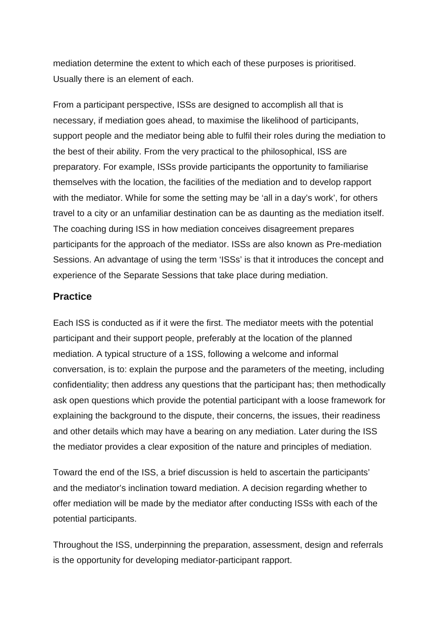mediation determine the extent to which each of these purposes is prioritised. Usually there is an element of each.

From a participant perspective, ISSs are designed to accomplish all that is necessary, if mediation goes ahead, to maximise the likelihood of participants, support people and the mediator being able to fulfil their roles during the mediation to the best of their ability. From the very practical to the philosophical, ISS are preparatory. For example, ISSs provide participants the opportunity to familiarise themselves with the location, the facilities of the mediation and to develop rapport with the mediator. While for some the setting may be 'all in a day's work', for others travel to a city or an unfamiliar destination can be as daunting as the mediation itself. The coaching during ISS in how mediation conceives disagreement prepares participants for the approach of the mediator. ISSs are also known as Pre-mediation Sessions. An advantage of using the term 'ISSs' is that it introduces the concept and experience of the Separate Sessions that take place during mediation.

#### **Practice**

Each ISS is conducted as if it were the first. The mediator meets with the potential participant and their support people, preferably at the location of the planned mediation. A typical structure of a 1SS, following a welcome and informal conversation, is to: explain the purpose and the parameters of the meeting, including confidentiality; then address any questions that the participant has; then methodically ask open questions which provide the potential participant with a loose framework for explaining the background to the dispute, their concerns, the issues, their readiness and other details which may have a bearing on any mediation. Later during the ISS the mediator provides a clear exposition of the nature and principles of mediation.

Toward the end of the ISS, a brief discussion is held to ascertain the participants' and the mediator's inclination toward mediation. A decision regarding whether to offer mediation will be made by the mediator after conducting ISSs with each of the potential participants.

Throughout the ISS, underpinning the preparation, assessment, design and referrals is the opportunity for developing mediator-participant rapport.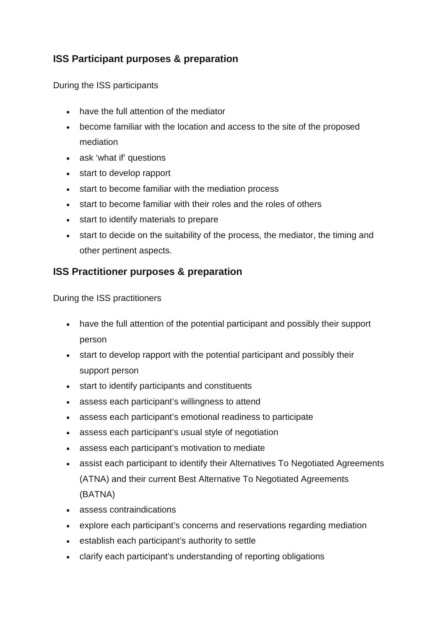## **ISS Participant purposes & preparation**

During the ISS participants

- have the full attention of the mediator
- become familiar with the location and access to the site of the proposed mediation
- ask 'what if' questions
- start to develop rapport
- start to become familiar with the mediation process
- start to become familiar with their roles and the roles of others
- start to identify materials to prepare
- start to decide on the suitability of the process, the mediator, the timing and other pertinent aspects.

### **ISS Practitioner purposes & preparation**

During the ISS practitioners

- have the full attention of the potential participant and possibly their support person
- start to develop rapport with the potential participant and possibly their support person
- start to identify participants and constituents
- assess each participant's willingness to attend
- assess each participant's emotional readiness to participate
- assess each participant's usual style of negotiation
- assess each participant's motivation to mediate
- assist each participant to identify their Alternatives To Negotiated Agreements (ATNA) and their current Best Alternative To Negotiated Agreements (BATNA)
- assess contraindications
- explore each participant's concerns and reservations regarding mediation
- establish each participant's authority to settle
- clarify each participant's understanding of reporting obligations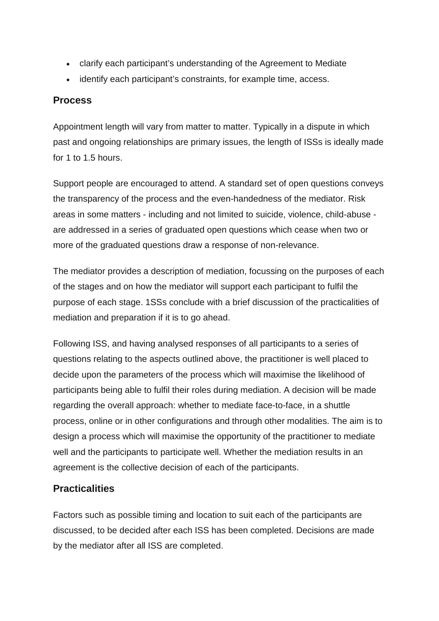- clarify each participant's understanding of the Agreement to Mediate
- identify each participant's constraints, for example time, access.

### **Process**

Appointment length will vary from matter to matter. Typically in a dispute in which past and ongoing relationships are primary issues, the length of ISSs is ideally made for 1 to 1.5 hours.

Support people are encouraged to attend. A standard set of open questions conveys the transparency of the process and the even-handedness of the mediator. Risk areas in some matters - including and not limited to suicide, violence, child-abuse are addressed in a series of graduated open questions which cease when two or more of the graduated questions draw a response of non-relevance.

The mediator provides a description of mediation, focussing on the purposes of each of the stages and on how the mediator will support each participant to fulfil the purpose of each stage. 1SSs conclude with a brief discussion of the practicalities of mediation and preparation if it is to go ahead.

Following ISS, and having analysed responses of all participants to a series of questions relating to the aspects outlined above, the practitioner is well placed to decide upon the parameters of the process which will maximise the likelihood of participants being able to fulfil their roles during mediation. A decision will be made regarding the overall approach: whether to mediate face-to-face, in a shuttle process, online or in other configurations and through other modalities. The aim is to design a process which will maximise the opportunity of the practitioner to mediate well and the participants to participate well. Whether the mediation results in an agreement is the collective decision of each of the participants.

# **Practicalities**

Factors such as possible timing and location to suit each of the participants are discussed, to be decided after each ISS has been completed. Decisions are made by the mediator after all ISS are completed.